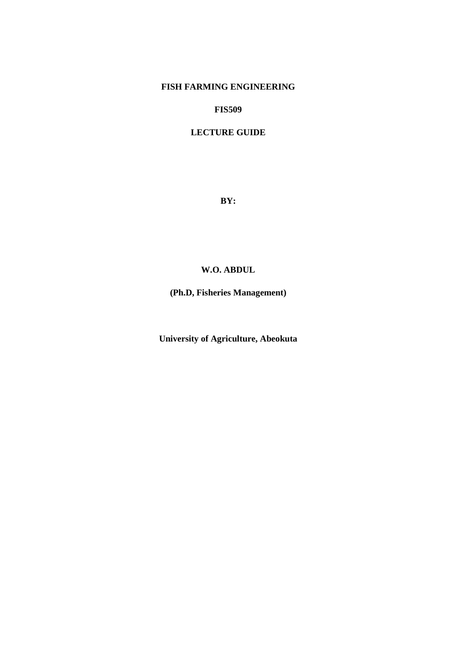# **FISH FARMING ENGINEERING**

**FIS509** 

# **LECTURE GUIDE**

**BY:** 

# **W.O. ABDUL**

**(Ph.D, Fisheries Management)** 

**University of Agriculture, Abeokuta**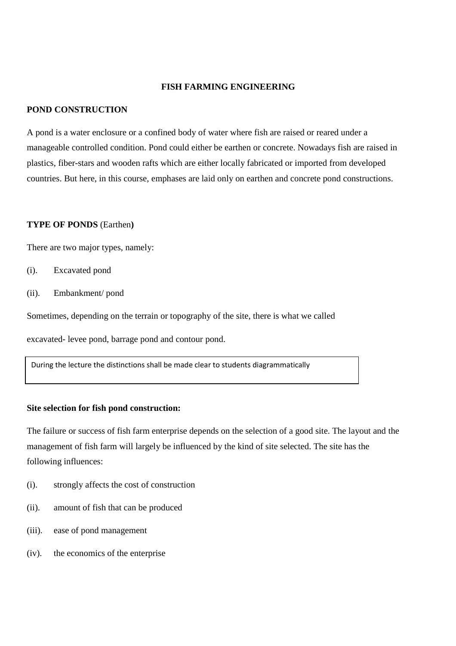#### **FISH FARMING ENGINEERING**

#### **POND CONSTRUCTION**

 A pond is a water enclosure or a confined body of water where fish are raised or reared under a manageable controlled condition. Pond could either be earthen or concrete. Nowadays fish are raised in plastics, fiber-stars and wooden rafts which are either locally fabricated or imported from developed countries. But here, in this course, emphases are laid only on earthen and concrete pond constructions.

#### **TYPE OF PONDS** (Earthen**)**

There are two major types, namely:

- (i). Excavated pond
- (ii). Embankment/ pond

Sometimes, depending on the terrain or topography of the site, there is what we called

excavated- levee pond, barrage pond and contour pond.

During the lecture the distinctions shall be made clear to students diagrammatically

# **Site selection for fish pond construction:**

The failure or success of fish farm enterprise depends on the selection of a good site. The layout and the management of fish farm will largely be influenced by the kind of site selected. The site has the following influences:

- (i). strongly affects the cost of construction
- (ii). amount of fish that can be produced
- (iii). ease of pond management
- (iv). the economics of the enterprise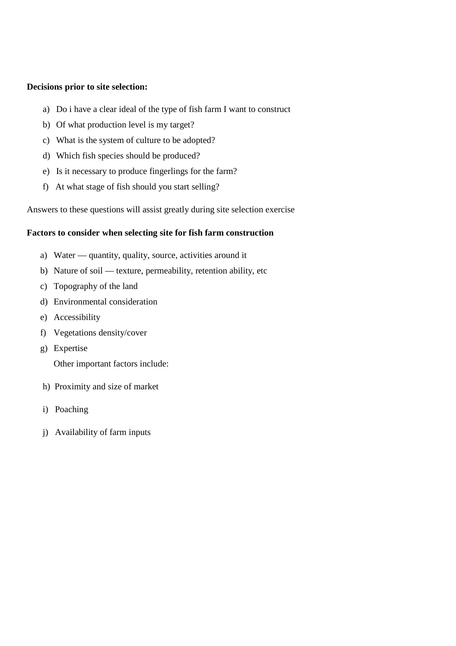## **Decisions prior to site selection:**

- a) Do i have a clear ideal of the type of fish farm I want to construct
- b) Of what production level is my target?
- c) What is the system of culture to be adopted?
- d) Which fish species should be produced?
- e) Is it necessary to produce fingerlings for the farm?
- f) At what stage of fish should you start selling?

Answers to these questions will assist greatly during site selection exercise

# **Factors to consider when selecting site for fish farm construction**

- a) Water quantity, quality, source, activities around it
- b) Nature of soil texture, permeability, retention ability, etc
- c) Topography of the land
- d) Environmental consideration
- e) Accessibility
- f) Vegetations density/cover
- g) Expertise

Other important factors include:

- h) Proximity and size of market
- i) Poaching
- j) Availability of farm inputs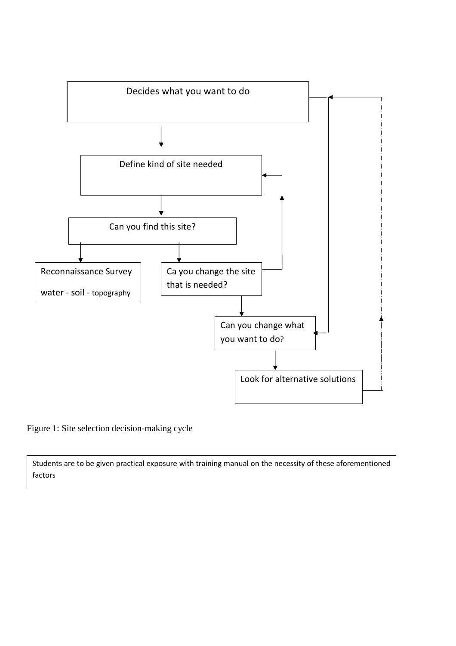

Figure 1: Site selection decision-making cycle

Students are to be given practical exposure with training manual on the necessity of these aforementioned factors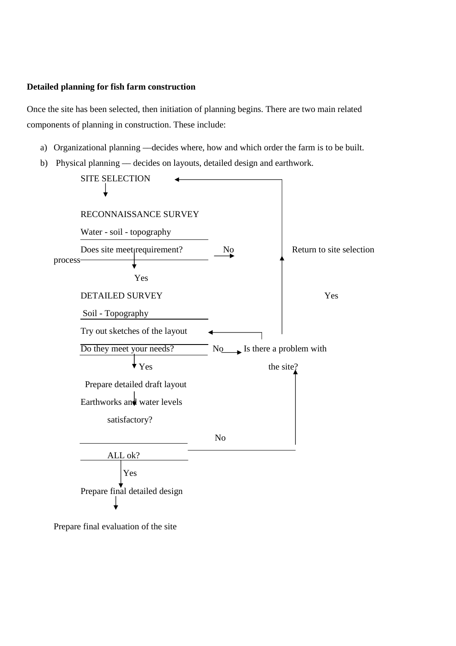## **Detailed planning for fish farm construction**

Once the site has been selected, then initiation of planning begins. There are two main related components of planning in construction. These include:

- a) Organizational planning —decides where, how and which order the farm is to be built.
- b) Physical planning –– decides on layouts, detailed design and earthwork.



Prepare final evaluation of the site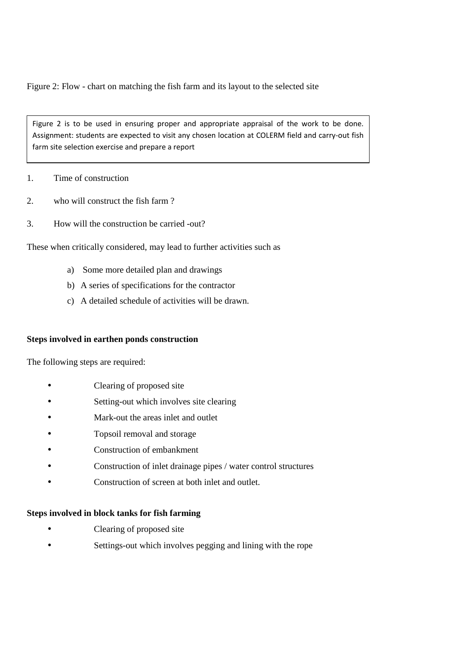Figure 2: Flow - chart on matching the fish farm and its layout to the selected site

Figure 2 is to be used in ensuring proper and appropriate appraisal of the work to be done. Assignment: students are expected to visit any chosen location at COLERM field and carry-out fish farm site selection exercise and prepare a report

1. Time of construction

- 2. who will construct the fish farm ?
- 3. How will the construction be carried -out?

These when critically considered, may lead to further activities such as

- a) Some more detailed plan and drawings
- b) A series of specifications for the contractor
- c) A detailed schedule of activities will be drawn.

## **Steps involved in earthen ponds construction**

The following steps are required:

- Clearing of proposed site
- Setting-out which involves site clearing
- Mark-out the areas inlet and outlet
- Topsoil removal and storage
- Construction of embankment
- Construction of inlet drainage pipes / water control structures
- Construction of screen at both inlet and outlet.

## **Steps involved in block tanks for fish farming**

- Clearing of proposed site
- Settings-out which involves pegging and lining with the rope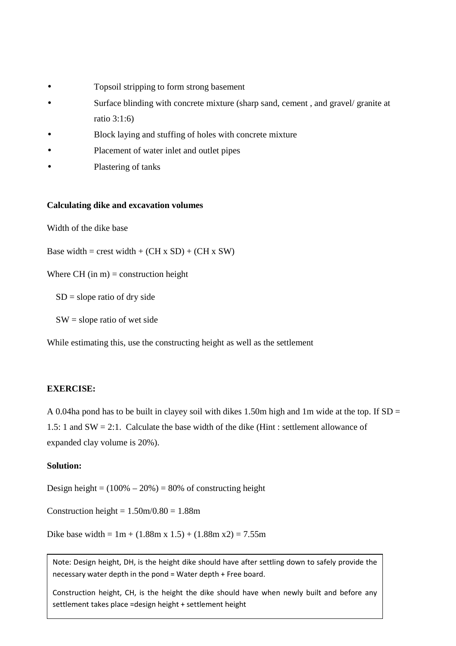- Topsoil stripping to form strong basement
- Surface blinding with concrete mixture (sharp sand, cement, and gravel/ granite at ratio 3:1:6)
- Block laying and stuffing of holes with concrete mixture
- Placement of water inlet and outlet pipes
- Plastering of tanks

#### **Calculating dike and excavation volumes**

Width of the dike base

Base width = crest width + (CH x SD) + (CH x SW)

Where CH (in  $m$ ) = construction height

 $SD = slope$  ratio of dry side

 $SW = slope$  ratio of wet side

While estimating this, use the constructing height as well as the settlement

#### **EXERCISE:**

A 0.04ha pond has to be built in clayey soil with dikes 1.50m high and 1m wide at the top. If  $SD =$ 1.5: 1 and SW = 2:1. Calculate the base width of the dike (Hint : settlement allowance of expanded clay volume is 20%).

## **Solution:**

Design height  $= (100\% - 20\%) = 80\%$  of constructing height

Construction height =  $1.50$ m/ $0.80$  =  $1.88$ m

Dike base width =  $1m + (1.88m x 1.5) + (1.88m x 2) = 7.55m$ 

Note: Design height, DH, is the height dike should have after settling down to safely provide the necessary water depth in the pond = Water depth + Free board.

Construction height, CH, is the height the dike should have when newly built and before any settlement takes place =design height + settlement height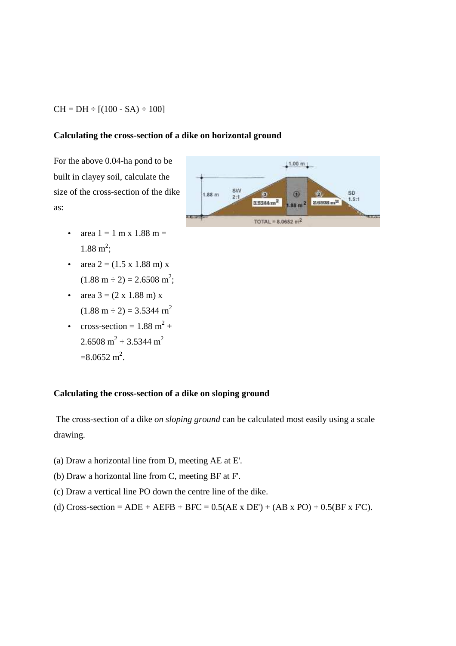#### $CH = DH \div [(100 - SA) \div 100]$

#### **Calculating the cross-section of a dike on horizontal ground**

For the above 0.04-ha pond to be built in clayey soil, calculate the size of the cross-section of the dike as:

- area  $1 = 1$  m x  $1.88$  m =  $1.88 \text{ m}^2$ ;
- area  $2 = (1.5 \times 1.88 \text{ m}) \times$  $(1.88 \text{ m} \div 2) = 2.6508 \text{ m}^2;$
- area  $3 = (2 \times 1.88 \text{ m}) \times$  $(1.88 \text{ m} \div 2) = 3.5344 \text{ m}^2$
- cross-section =  $1.88 \text{ m}^2 +$  $2.6508 \text{ m}^2 + 3.5344 \text{ m}^2$  $=8.0652 \text{ m}^2$ .

# **Calculating the cross-section of a dike on sloping ground**

 The cross-section of a dike *on sloping ground* can be calculated most easily using a scale drawing.

- (a) Draw a horizontal line from D, meeting AE at E'.
- (b) Draw a horizontal line from C, meeting BF at F'.
- (c) Draw a vertical line PO down the centre line of the dike.
- (d) Cross-section = ADE + AEFB + BFC =  $0.5(AE \times DE') + (AB \times PO) + 0.5(BF \times FC)$ .

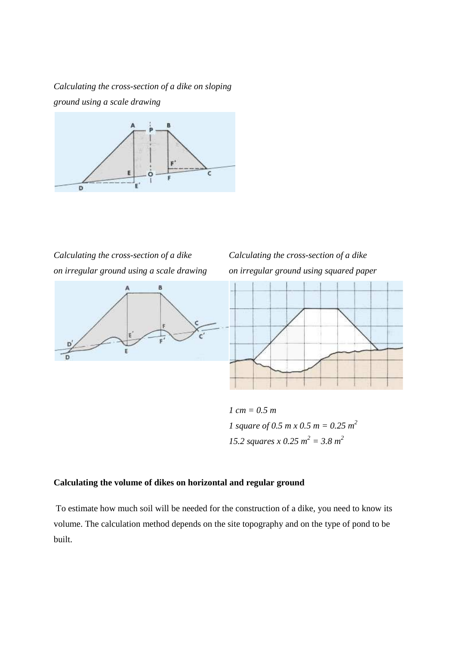*Calculating the cross-section of a dike on sloping ground using a scale drawing*



*Calculating the cross-section of a dike on irregular ground using a scale drawing*



*Calculating the cross-section of a dike on irregular ground using squared paper*



*1 cm = 0.5 m 1 square of 0.5 m x 0.5 m = 0.25 m*<sup>2</sup> *15.2 squares x 0.25 m*<sup>2</sup> = 3.8 m<sup>2</sup>

# **Calculating the volume of dikes on horizontal and regular ground**

 To estimate how much soil will be needed for the construction of a dike, you need to know its volume. The calculation method depends on the site topography and on the type of pond to be built.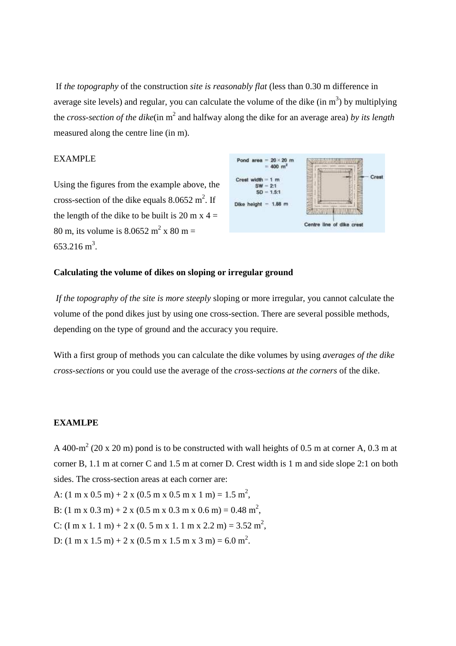If *the topography* of the construction *site is reasonably flat* (less than 0.30 m difference in average site levels) and regular, you can calculate the volume of the dike  $(in m<sup>3</sup>)$  by multiplying the *cross-section of the dike*(in m<sup>2</sup> and halfway along the dike for an average area) *by its length* measured along the centre line (in m).

#### EXAMPLE

Using the figures from the example above, the cross-section of the dike equals  $8.0652 \text{ m}^2$ . If the length of the dike to be built is 20 m x  $4 =$ 80 m, its volume is  $8.0652 \text{ m}^2 \times 80 \text{ m} =$  $653.216 \text{ m}^3$ .



## **Calculating the volume of dikes on sloping or irregular ground**

*If the topography of the site is more steeply* sloping or more irregular, you cannot calculate the volume of the pond dikes just by using one cross-section. There are several possible methods, depending on the type of ground and the accuracy you require.

With a first group of methods you can calculate the dike volumes by using *averages of the dike cross-sections* or you could use the average of the *cross-sections at the corners* of the dike.

#### **EXAMLPE**

A 400-m<sup>2</sup> (20 x 20 m) pond is to be constructed with wall heights of 0.5 m at corner A, 0.3 m at corner B, 1.1 m at corner C and 1.5 m at corner D. Crest width is 1 m and side slope 2:1 on both sides. The cross-section areas at each corner are:

A:  $(1 \text{ m x } 0.5 \text{ m}) + 2 \text{ x } (0.5 \text{ m x } 0.5 \text{ m x } 1 \text{ m}) = 1.5 \text{ m}^2$ , B:  $(1 \text{ m x } 0.3 \text{ m}) + 2 \text{ x } (0.5 \text{ m x } 0.3 \text{ m x } 0.6 \text{ m}) = 0.48 \text{ m}^2$ , C:  $(\text{Im } x \cdot 1.1 \text{ m}) + 2 x (0.5 \text{ m} x \cdot 1.1 \text{ m} x \cdot 2.2 \text{ m}) = 3.52 \text{ m}^2$ ,

D:  $(1 \text{ m x } 1.5 \text{ m}) + 2 \text{ x } (0.5 \text{ m x } 1.5 \text{ m x } 3 \text{ m}) = 6.0 \text{ m}^2$ .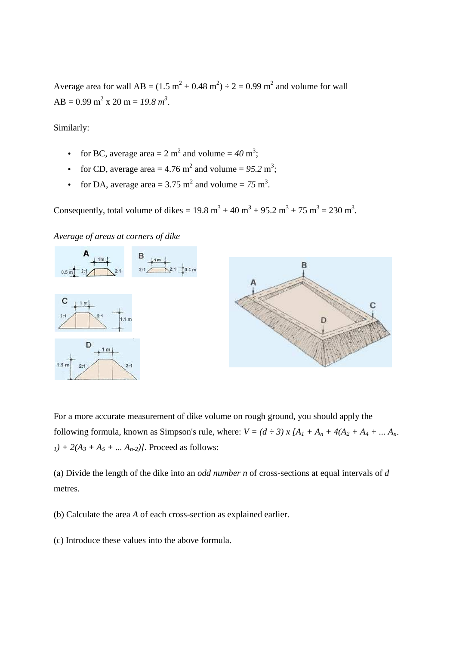Average area for wall  $AB = (1.5 \text{ m}^2 + 0.48 \text{ m}^2) \div 2 = 0.99 \text{ m}^2$  and volume for wall  $AB = 0.99$  m<sup>2</sup> x 20 m = 19.8 m<sup>3</sup>.

Similarly:

- for BC, average area  $= 2 \text{ m}^2$  and volume  $= 40 \text{ m}^3$ ;
- for CD, average area  $= 4.76$  m<sup>2</sup> and volume  $= 95.2$  m<sup>3</sup>;
- for DA, average area =  $3.75 \text{ m}^2$  and volume =  $75 \text{ m}^3$ .

Consequently, total volume of dikes =  $19.8 \text{ m}^3 + 40 \text{ m}^3 + 95.2 \text{ m}^3 + 75 \text{ m}^3 = 230 \text{ m}^3$ .

*Average of areas at corners of dike*



For a more accurate measurement of dike volume on rough ground, you should apply the following formula, known as Simpson's rule, where:  $V = (d \div 3) x [A_1 + A_n + 4(A_2 + A_4 + ... A_n)]$  $_1$ *)* + 2( $A_3$  +  $A_5$  + ...  $A_{n-2}$ )]. Proceed as follows:

(a) Divide the length of the dike into an *odd number n* of cross-sections at equal intervals of *d* metres.

(b) Calculate the area *A* of each cross-section as explained earlier.

(c) Introduce these values into the above formula.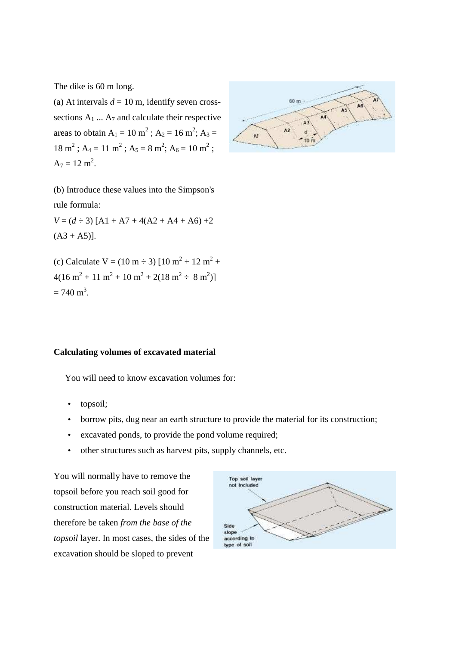The dike is 60 m long.

(a) At intervals  $d = 10$  m, identify seven crosssections  $A_1 \ldots A_7$  and calculate their respective areas to obtain  $A_1 = 10 \text{ m}^2$ ;  $A_2 = 16 \text{ m}^2$ ;  $A_3 =$  $18 \text{ m}^2$ ; A<sub>4</sub> = 11 m<sup>2</sup>; A<sub>5</sub> = 8 m<sup>2</sup>; A<sub>6</sub> = 10 m<sup>2</sup>;  $A_7 = 12 \text{ m}^2$ .



(b) Introduce these values into the Simpson's rule formula:

 $V = (d \div 3)$  [A1 + A7 + 4(A2 + A4 + A6) +2  $(A3 + A5)$ ].

(c) Calculate V =  $(10 \text{ m} \div 3)$  [10 m<sup>2</sup> + 12 m<sup>2</sup> +  $4(16 \text{ m}^2 + 11 \text{ m}^2 + 10 \text{ m}^2 + 2(18 \text{ m}^2 \div 8 \text{ m}^2))$  $= 740 \text{ m}^3$ .

#### **Calculating volumes of excavated material**

You will need to know excavation volumes for:

- topsoil;
- borrow pits, dug near an earth structure to provide the material for its construction;
- excavated ponds, to provide the pond volume required;
- other structures such as harvest pits, supply channels, etc.

You will normally have to remove the topsoil before you reach soil good for construction material. Levels should therefore be taken *from the base of the topsoil* layer. In most cases, the sides of the excavation should be sloped to prevent

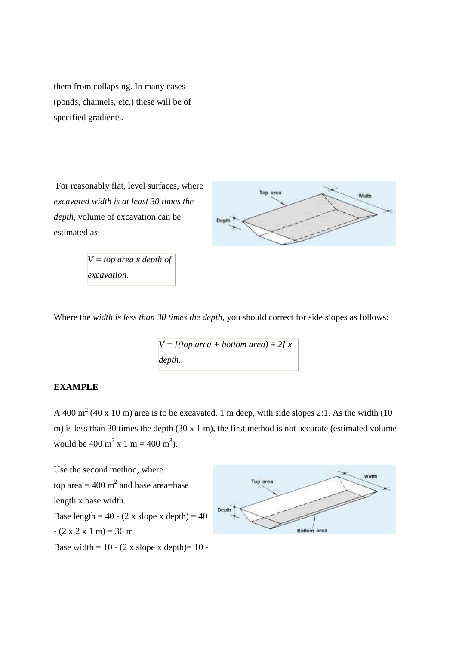them from collapsing. In many cases (ponds, channels, etc.) these will be of specified gradients.

 For reasonably flat, level surfaces, where *excavated width is at least 30 times the depth*, volume of excavation can be estimated as:

> *V = top area x depth of excavation.*



Where the *width is less than 30 times the depth*, you should correct for side slopes as follows:

```
V = \frac{f(t) - f(t)}{f(t)} (top area + bottom area) ÷ 2] x
depth.
```
# **EXAMPLE**

A 400 m<sup>2</sup> (40 x 10 m) area is to be excavated, 1 m deep, with side slopes 2:1. As the width (10 m) is less than 30 times the depth (30 x 1 m), the first method is not accurate (estimated volume would be 400 m<sup>2</sup> x 1 m = 400 m<sup>3</sup>).

Use the second method, where top area  $= 400 \text{ m}^2$  and base area=base length x base width. Base length =  $40 - (2 \times \text{slope} \times \text{depth}) = 40$  $- (2 \times 2 \times 1 \text{ m}) = 36 \text{ m}$ Base width =  $10 - (2 \times \text{slope} \times \text{depth}) = 10 -$ 

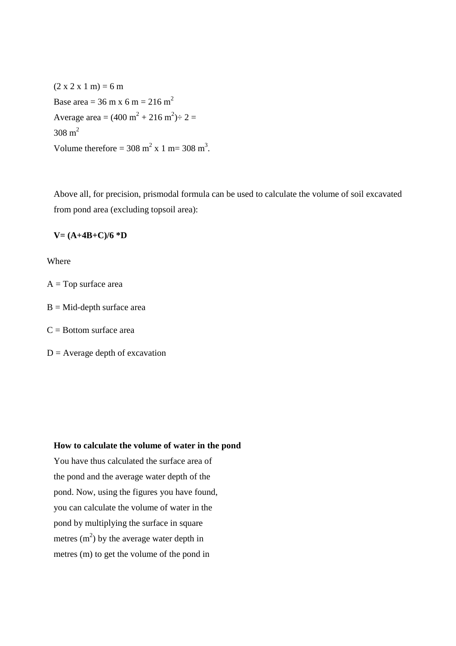$(2 x 2 x 1 m) = 6 m$ Base area =  $36 \text{ m} \times 6 \text{ m} = 216 \text{ m}^2$ Average area =  $(400 \text{ m}^2 + 216 \text{ m}^2) \div 2 =$  $308 \text{ m}^2$ Volume therefore =  $308 \text{ m}^2 \times 1 \text{ m} = 308 \text{ m}^3$ .

Above all, for precision, prismodal formula can be used to calculate the volume of soil excavated from pond area (excluding topsoil area):

#### **V= (A+4B+C)/6 \*D**

Where

 $A = Top$  surface area

 $B = Mid$ -depth surface area

 $C =$ Bottom surface area

 $D =$  Average depth of excavation

# **How to calculate the volume of water in the pond**

You have thus calculated the surface area of the pond and the average water depth of the pond. Now, using the figures you have found, you can calculate the volume of water in the pond by multiplying the surface in square metres  $(m<sup>2</sup>)$  by the average water depth in metres (m) to get the volume of the pond in